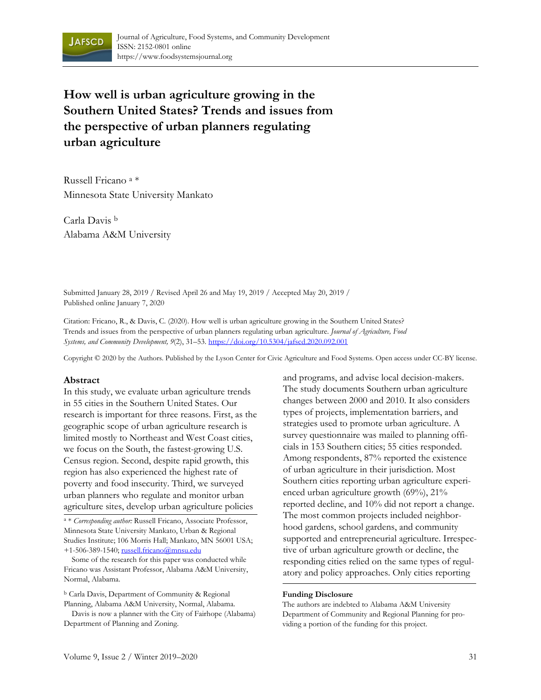

**How well is urban agriculture growing in the Southern United States? Trends and issues from the perspective of urban planners regulating urban agriculture**

Russell Fricano a \* Minnesota State University Mankato

Carla Davis b Alabama A&M University

Submitted January 28, 2019 / Revised April 26 and May 19, 2019 / Accepted May 20, 2019 / Published online January 7, 2020

Citation: Fricano, R., & Davis, C. (2020). How well is urban agriculture growing in the Southern United States? Trends and issues from the perspective of urban planners regulating urban agriculture. *Journal of Agriculture, Food Systems, and Community Development, 9*(2), 31–53. https://doi.org/10.5304/jafscd.2020.092.001

Copyright © 2020 by the Authors. Published by the Lyson Center for Civic Agriculture and Food Systems. Open access under CC-BY license.

#### **Abstract**

In this study, we evaluate urban agriculture trends in 55 cities in the Southern United States. Our research is important for three reasons. First, as the geographic scope of urban agriculture research is limited mostly to Northeast and West Coast cities, we focus on the South, the fastest-growing U.S. Census region. Second, despite rapid growth, this region has also experienced the highest rate of poverty and food insecurity. Third, we surveyed urban planners who regulate and monitor urban agriculture sites, develop urban agriculture policies

a \* *Corresponding author:* Russell Fricano, Associate Professor, Minnesota State University Mankato, Urban & Regional Studies Institute; 106 Morris Hall; Mankato, MN 56001 USA; +1-506-389-1540; russell.fricano@mnsu.edu

 Some of the research for this paper was conducted while Fricano was Assistant Professor, Alabama A&M University, Normal, Alabama.

<sup>b</sup> Carla Davis, Department of Community & Regional Planning, Alabama A&M University, Normal, Alabama.

 Davis is now a planner with the City of Fairhope (Alabama) Department of Planning and Zoning.

and programs, and advise local decision-makers. The study documents Southern urban agriculture changes between 2000 and 2010. It also considers types of projects, implementation barriers, and strategies used to promote urban agriculture. A survey questionnaire was mailed to planning officials in 153 Southern cities; 55 cities responded. Among respondents, 87% reported the existence of urban agriculture in their jurisdiction. Most Southern cities reporting urban agriculture experienced urban agriculture growth (69%), 21% reported decline, and 10% did not report a change. The most common projects included neighborhood gardens, school gardens, and community supported and entrepreneurial agriculture. Irrespective of urban agriculture growth or decline, the responding cities relied on the same types of regulatory and policy approaches. Only cities reporting

#### **Funding Disclosure**

The authors are indebted to Alabama A&M University Department of Community and Regional Planning for providing a portion of the funding for this project.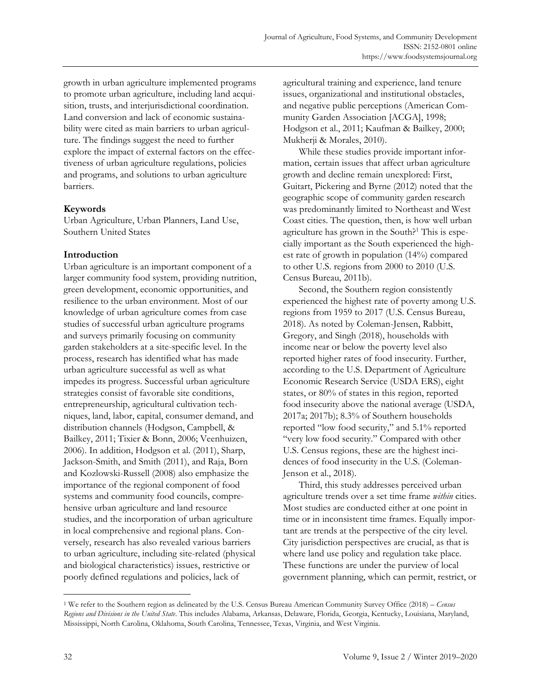growth in urban agriculture implemented programs to promote urban agriculture, including land acquisition, trusts, and interjurisdictional coordination. Land conversion and lack of economic sustainability were cited as main barriers to urban agriculture. The findings suggest the need to further explore the impact of external factors on the effectiveness of urban agriculture regulations, policies and programs, and solutions to urban agriculture barriers.

### **Keywords**

Urban Agriculture, Urban Planners, Land Use, Southern United States

## **Introduction**

Urban agriculture is an important component of a larger community food system, providing nutrition, green development, economic opportunities, and resilience to the urban environment. Most of our knowledge of urban agriculture comes from case studies of successful urban agriculture programs and surveys primarily focusing on community garden stakeholders at a site-specific level. In the process, research has identified what has made urban agriculture successful as well as what impedes its progress. Successful urban agriculture strategies consist of favorable site conditions, entrepreneurship, agricultural cultivation techniques, land, labor, capital, consumer demand, and distribution channels (Hodgson, Campbell, & Bailkey, 2011; Tixier & Bonn, 2006; Veenhuizen, 2006). In addition, Hodgson et al. (2011), Sharp, Jackson-Smith, and Smith (2011), and Raja, Born and Kozlowski-Russell (2008) also emphasize the importance of the regional component of food systems and community food councils, comprehensive urban agriculture and land resource studies, and the incorporation of urban agriculture in local comprehensive and regional plans. Conversely, research has also revealed various barriers to urban agriculture, including site-related (physical and biological characteristics) issues, restrictive or poorly defined regulations and policies, lack of

agricultural training and experience, land tenure issues, organizational and institutional obstacles, and negative public perceptions (American Community Garden Association [ACGA], 1998; Hodgson et al., 2011; Kaufman & Bailkey, 2000; Mukherji & Morales, 2010).

 While these studies provide important information, certain issues that affect urban agriculture growth and decline remain unexplored: First, Guitart, Pickering and Byrne (2012) noted that the geographic scope of community garden research was predominantly limited to Northeast and West Coast cities. The question, then, is how well urban agriculture has grown in the South?<sup>1</sup> This is especially important as the South experienced the highest rate of growth in population (14%) compared to other U.S. regions from 2000 to 2010 (U.S. Census Bureau, 2011b).

 Second, the Southern region consistently experienced the highest rate of poverty among U.S. regions from 1959 to 2017 (U.S. Census Bureau, 2018). As noted by Coleman-Jensen, Rabbitt, Gregory, and Singh (2018), households with income near or below the poverty level also reported higher rates of food insecurity. Further, according to the U.S. Department of Agriculture Economic Research Service (USDA ERS), eight states, or 80% of states in this region, reported food insecurity above the national average (USDA, 2017a; 2017b); 8.3% of Southern households reported "low food security," and 5.1% reported "very low food security." Compared with other U.S. Census regions, these are the highest incidences of food insecurity in the U.S. (Coleman-Jenson et al., 2018).

 Third, this study addresses perceived urban agriculture trends over a set time frame *within* cities. Most studies are conducted either at one point in time or in inconsistent time frames. Equally important are trends at the perspective of the city level. City jurisdiction perspectives are crucial, as that is where land use policy and regulation take place. These functions are under the purview of local government planning, which can permit, restrict, or

<sup>1</sup> We refer to the Southern region as delineated by the U.S. Census Bureau American Community Survey Office (2018) *– Census Regions and Divisions in the United State*. This includes Alabama, Arkansas, Delaware, Florida, Georgia, Kentucky, Louisiana, Maryland, Mississippi, North Carolina, Oklahoma, South Carolina, Tennessee, Texas, Virginia, and West Virginia.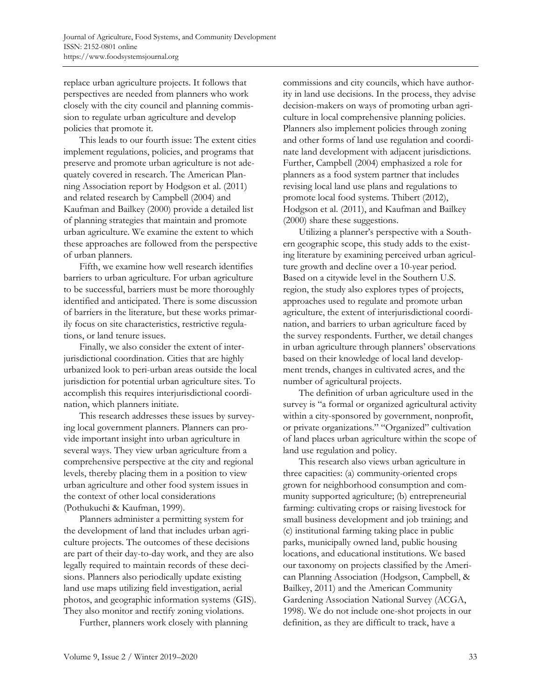replace urban agriculture projects. It follows that perspectives are needed from planners who work closely with the city council and planning commission to regulate urban agriculture and develop policies that promote it.

 This leads to our fourth issue: The extent cities implement regulations, policies, and programs that preserve and promote urban agriculture is not adequately covered in research. The American Planning Association report by Hodgson et al. (2011) and related research by Campbell (2004) and Kaufman and Bailkey (2000) provide a detailed list of planning strategies that maintain and promote urban agriculture. We examine the extent to which these approaches are followed from the perspective of urban planners.

 Fifth, we examine how well research identifies barriers to urban agriculture. For urban agriculture to be successful, barriers must be more thoroughly identified and anticipated. There is some discussion of barriers in the literature, but these works primarily focus on site characteristics, restrictive regulations, or land tenure issues.

 Finally, we also consider the extent of interjurisdictional coordination. Cities that are highly urbanized look to peri-urban areas outside the local jurisdiction for potential urban agriculture sites. To accomplish this requires interjurisdictional coordination, which planners initiate.

 This research addresses these issues by surveying local government planners. Planners can provide important insight into urban agriculture in several ways. They view urban agriculture from a comprehensive perspective at the city and regional levels, thereby placing them in a position to view urban agriculture and other food system issues in the context of other local considerations (Pothukuchi & Kaufman, 1999).

 Planners administer a permitting system for the development of land that includes urban agriculture projects. The outcomes of these decisions are part of their day-to-day work, and they are also legally required to maintain records of these decisions. Planners also periodically update existing land use maps utilizing field investigation, aerial photos, and geographic information systems (GIS). They also monitor and rectify zoning violations.

Further, planners work closely with planning

commissions and city councils, which have authority in land use decisions. In the process, they advise decision-makers on ways of promoting urban agriculture in local comprehensive planning policies. Planners also implement policies through zoning and other forms of land use regulation and coordinate land development with adjacent jurisdictions. Further, Campbell (2004) emphasized a role for planners as a food system partner that includes revising local land use plans and regulations to promote local food systems. Thibert (2012), Hodgson et al. (2011), and Kaufman and Bailkey (2000) share these suggestions.

 Utilizing a planner's perspective with a Southern geographic scope, this study adds to the existing literature by examining perceived urban agriculture growth and decline over a 10-year period. Based on a citywide level in the Southern U.S. region, the study also explores types of projects, approaches used to regulate and promote urban agriculture, the extent of interjurisdictional coordination, and barriers to urban agriculture faced by the survey respondents. Further, we detail changes in urban agriculture through planners' observations based on their knowledge of local land development trends, changes in cultivated acres, and the number of agricultural projects.

 The definition of urban agriculture used in the survey is "a formal or organized agricultural activity within a city-sponsored by government, nonprofit, or private organizations." "Organized" cultivation of land places urban agriculture within the scope of land use regulation and policy.

 This research also views urban agriculture in three capacities: (a) community-oriented crops grown for neighborhood consumption and community supported agriculture; (b) entrepreneurial farming: cultivating crops or raising livestock for small business development and job training; and (c) institutional farming taking place in public parks, municipally owned land, public housing locations, and educational institutions. We based our taxonomy on projects classified by the American Planning Association (Hodgson, Campbell, & Bailkey, 2011) and the American Community Gardening Association National Survey (ACGA, 1998). We do not include one-shot projects in our definition, as they are difficult to track, have a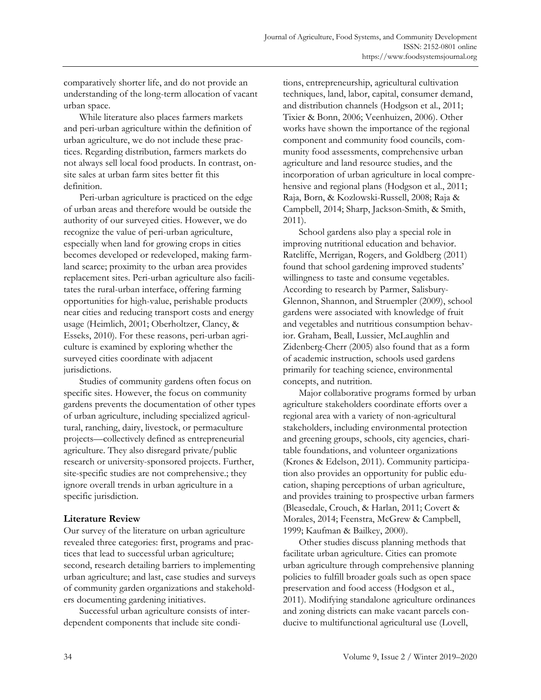comparatively shorter life, and do not provide an understanding of the long-term allocation of vacant urban space.

 While literature also places farmers markets and peri-urban agriculture within the definition of urban agriculture, we do not include these practices. Regarding distribution, farmers markets do not always sell local food products. In contrast, onsite sales at urban farm sites better fit this definition.

 Peri-urban agriculture is practiced on the edge of urban areas and therefore would be outside the authority of our surveyed cities. However, we do recognize the value of peri-urban agriculture, especially when land for growing crops in cities becomes developed or redeveloped, making farmland scarce; proximity to the urban area provides replacement sites. Peri-urban agriculture also facilitates the rural-urban interface, offering farming opportunities for high-value, perishable products near cities and reducing transport costs and energy usage (Heimlich, 2001; Oberholtzer, Clancy, & Esseks, 2010). For these reasons, peri-urban agriculture is examined by exploring whether the surveyed cities coordinate with adjacent jurisdictions.

 Studies of community gardens often focus on specific sites. However, the focus on community gardens prevents the documentation of other types of urban agriculture, including specialized agricultural, ranching, dairy, livestock, or permaculture projects—collectively defined as entrepreneurial agriculture. They also disregard private/public research or university-sponsored projects. Further, site-specific studies are not comprehensive.; they ignore overall trends in urban agriculture in a specific jurisdiction.

### **Literature Review**

Our survey of the literature on urban agriculture revealed three categories: first, programs and practices that lead to successful urban agriculture; second, research detailing barriers to implementing urban agriculture; and last, case studies and surveys of community garden organizations and stakeholders documenting gardening initiatives.

 Successful urban agriculture consists of interdependent components that include site conditions, entrepreneurship, agricultural cultivation techniques, land, labor, capital, consumer demand, and distribution channels (Hodgson et al., 2011; Tixier & Bonn, 2006; Veenhuizen, 2006). Other works have shown the importance of the regional component and community food councils, community food assessments, comprehensive urban agriculture and land resource studies, and the incorporation of urban agriculture in local comprehensive and regional plans (Hodgson et al., 2011; Raja, Born, & Kozlowski-Russell, 2008; Raja & Campbell, 2014; Sharp, Jackson-Smith, & Smith, 2011).

 School gardens also play a special role in improving nutritional education and behavior. Ratcliffe, Merrigan, Rogers, and Goldberg (2011) found that school gardening improved students' willingness to taste and consume vegetables. According to research by Parmer, Salisbury-Glennon, Shannon, and Struempler (2009), school gardens were associated with knowledge of fruit and vegetables and nutritious consumption behavior. Graham, Beall, Lussier, McLaughlin and Zidenberg-Cherr (2005) also found that as a form of academic instruction, schools used gardens primarily for teaching science, environmental concepts, and nutrition.

 Major collaborative programs formed by urban agriculture stakeholders coordinate efforts over a regional area with a variety of non-agricultural stakeholders, including environmental protection and greening groups, schools, city agencies, charitable foundations, and volunteer organizations (Krones & Edelson, 2011). Community participation also provides an opportunity for public education, shaping perceptions of urban agriculture, and provides training to prospective urban farmers (Bleasedale, Crouch, & Harlan, 2011; Covert & Morales, 2014; Feenstra, McGrew & Campbell, 1999; Kaufman & Bailkey, 2000).

 Other studies discuss planning methods that facilitate urban agriculture. Cities can promote urban agriculture through comprehensive planning policies to fulfill broader goals such as open space preservation and food access (Hodgson et al., 2011). Modifying standalone agriculture ordinances and zoning districts can make vacant parcels conducive to multifunctional agricultural use (Lovell,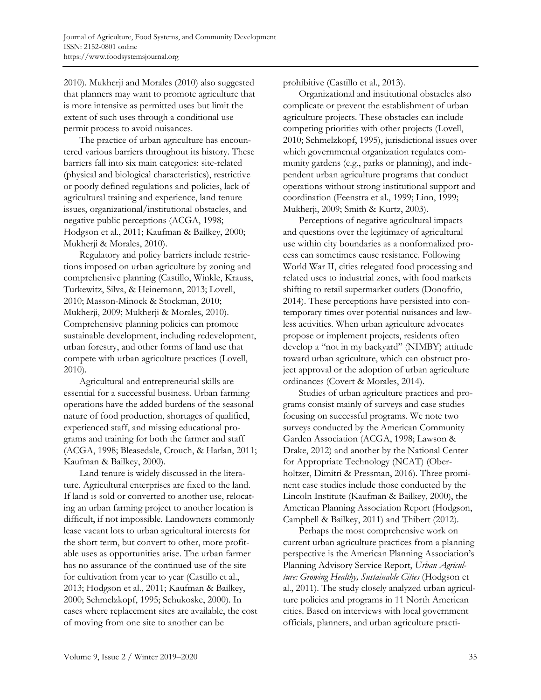2010). Mukherji and Morales (2010) also suggested that planners may want to promote agriculture that is more intensive as permitted uses but limit the extent of such uses through a conditional use permit process to avoid nuisances.

 The practice of urban agriculture has encountered various barriers throughout its history. These barriers fall into six main categories: site-related (physical and biological characteristics), restrictive or poorly defined regulations and policies, lack of agricultural training and experience, land tenure issues, organizational/institutional obstacles, and negative public perceptions (ACGA, 1998; Hodgson et al., 2011; Kaufman & Bailkey, 2000; Mukherji & Morales, 2010).

 Regulatory and policy barriers include restrictions imposed on urban agriculture by zoning and comprehensive planning (Castillo, Winkle, Krauss, Turkewitz, Silva, & Heinemann, 2013; Lovell, 2010; Masson-Minock & Stockman, 2010; Mukherji, 2009; Mukherji & Morales, 2010). Comprehensive planning policies can promote sustainable development, including redevelopment, urban forestry, and other forms of land use that compete with urban agriculture practices (Lovell, 2010).

 Agricultural and entrepreneurial skills are essential for a successful business. Urban farming operations have the added burdens of the seasonal nature of food production, shortages of qualified, experienced staff, and missing educational programs and training for both the farmer and staff (ACGA, 1998; Bleasedale, Crouch, & Harlan, 2011; Kaufman & Bailkey, 2000).

 Land tenure is widely discussed in the literature. Agricultural enterprises are fixed to the land. If land is sold or converted to another use, relocating an urban farming project to another location is difficult, if not impossible. Landowners commonly lease vacant lots to urban agricultural interests for the short term, but convert to other, more profitable uses as opportunities arise. The urban farmer has no assurance of the continued use of the site for cultivation from year to year (Castillo et al., 2013; Hodgson et al., 2011; Kaufman & Bailkey, 2000; Schmelzkopf, 1995; Schukoske, 2000). In cases where replacement sites are available, the cost of moving from one site to another can be

prohibitive (Castillo et al., 2013).

 Organizational and institutional obstacles also complicate or prevent the establishment of urban agriculture projects. These obstacles can include competing priorities with other projects (Lovell, 2010; Schmelzkopf, 1995), jurisdictional issues over which governmental organization regulates community gardens (e.g., parks or planning), and independent urban agriculture programs that conduct operations without strong institutional support and coordination (Feenstra et al., 1999; Linn, 1999; Mukherji, 2009; Smith & Kurtz, 2003).

 Perceptions of negative agricultural impacts and questions over the legitimacy of agricultural use within city boundaries as a nonformalized process can sometimes cause resistance. Following World War II, cities relegated food processing and related uses to industrial zones, with food markets shifting to retail supermarket outlets (Donofrio, 2014). These perceptions have persisted into contemporary times over potential nuisances and lawless activities. When urban agriculture advocates propose or implement projects, residents often develop a "not in my backyard" (NIMBY) attitude toward urban agriculture, which can obstruct project approval or the adoption of urban agriculture ordinances (Covert & Morales, 2014).

 Studies of urban agriculture practices and programs consist mainly of surveys and case studies focusing on successful programs. We note two surveys conducted by the American Community Garden Association (ACGA, 1998; Lawson & Drake, 2012) and another by the National Center for Appropriate Technology (NCAT) (Oberholtzer, Dimitri & Pressman, 2016). Three prominent case studies include those conducted by the Lincoln Institute (Kaufman & Bailkey, 2000), the American Planning Association Report (Hodgson, Campbell & Bailkey, 2011) and Thibert (2012).

 Perhaps the most comprehensive work on current urban agriculture practices from a planning perspective is the American Planning Association's Planning Advisory Service Report, *Urban Agriculture: Growing Healthy, Sustainable Cities* (Hodgson et al., 2011). The study closely analyzed urban agriculture policies and programs in 11 North American cities. Based on interviews with local government officials, planners, and urban agriculture practi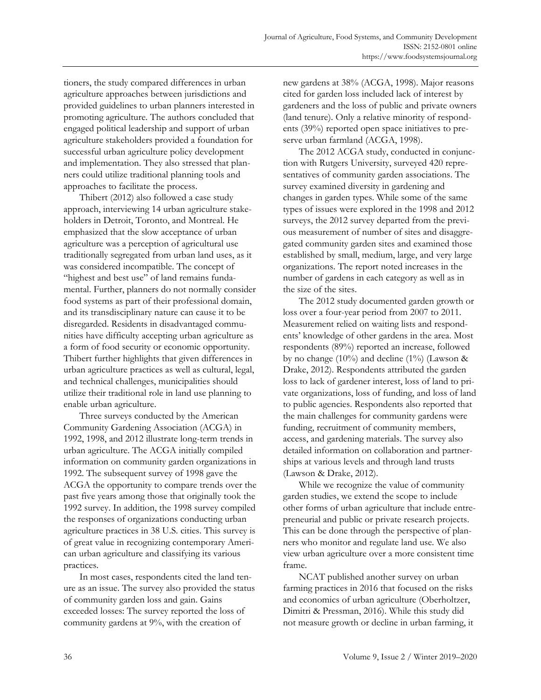tioners, the study compared differences in urban agriculture approaches between jurisdictions and provided guidelines to urban planners interested in promoting agriculture. The authors concluded that engaged political leadership and support of urban agriculture stakeholders provided a foundation for successful urban agriculture policy development and implementation. They also stressed that planners could utilize traditional planning tools and approaches to facilitate the process.

 Thibert (2012) also followed a case study approach, interviewing 14 urban agriculture stakeholders in Detroit, Toronto, and Montreal. He emphasized that the slow acceptance of urban agriculture was a perception of agricultural use traditionally segregated from urban land uses, as it was considered incompatible. The concept of "highest and best use" of land remains fundamental. Further, planners do not normally consider food systems as part of their professional domain, and its transdisciplinary nature can cause it to be disregarded. Residents in disadvantaged communities have difficulty accepting urban agriculture as a form of food security or economic opportunity. Thibert further highlights that given differences in urban agriculture practices as well as cultural, legal, and technical challenges, municipalities should utilize their traditional role in land use planning to enable urban agriculture.

 Three surveys conducted by the American Community Gardening Association (ACGA) in 1992, 1998, and 2012 illustrate long-term trends in urban agriculture. The ACGA initially compiled information on community garden organizations in 1992. The subsequent survey of 1998 gave the ACGA the opportunity to compare trends over the past five years among those that originally took the 1992 survey. In addition, the 1998 survey compiled the responses of organizations conducting urban agriculture practices in 38 U.S. cities. This survey is of great value in recognizing contemporary American urban agriculture and classifying its various practices.

 In most cases, respondents cited the land tenure as an issue. The survey also provided the status of community garden loss and gain. Gains exceeded losses: The survey reported the loss of community gardens at 9%, with the creation of

new gardens at 38% (ACGA, 1998). Major reasons cited for garden loss included lack of interest by gardeners and the loss of public and private owners (land tenure). Only a relative minority of respondents (39%) reported open space initiatives to preserve urban farmland (ACGA, 1998).

 The 2012 ACGA study, conducted in conjunction with Rutgers University, surveyed 420 representatives of community garden associations. The survey examined diversity in gardening and changes in garden types. While some of the same types of issues were explored in the 1998 and 2012 surveys, the 2012 survey departed from the previous measurement of number of sites and disaggregated community garden sites and examined those established by small, medium, large, and very large organizations. The report noted increases in the number of gardens in each category as well as in the size of the sites.

 The 2012 study documented garden growth or loss over a four-year period from 2007 to 2011. Measurement relied on waiting lists and respondents' knowledge of other gardens in the area. Most respondents (89%) reported an increase, followed by no change (10%) and decline (1%) (Lawson  $\&$ Drake, 2012). Respondents attributed the garden loss to lack of gardener interest, loss of land to private organizations, loss of funding, and loss of land to public agencies. Respondents also reported that the main challenges for community gardens were funding, recruitment of community members, access, and gardening materials. The survey also detailed information on collaboration and partnerships at various levels and through land trusts (Lawson & Drake, 2012).

 While we recognize the value of community garden studies, we extend the scope to include other forms of urban agriculture that include entrepreneurial and public or private research projects. This can be done through the perspective of planners who monitor and regulate land use. We also view urban agriculture over a more consistent time frame.

 NCAT published another survey on urban farming practices in 2016 that focused on the risks and economics of urban agriculture (Oberholtzer, Dimitri & Pressman, 2016). While this study did not measure growth or decline in urban farming, it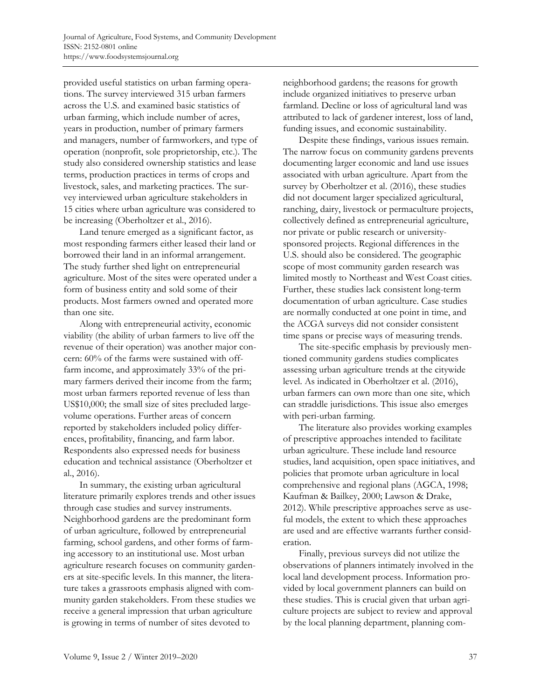provided useful statistics on urban farming operations. The survey interviewed 315 urban farmers across the U.S. and examined basic statistics of urban farming, which include number of acres, years in production, number of primary farmers and managers, number of farmworkers, and type of operation (nonprofit, sole proprietorship, etc.). The study also considered ownership statistics and lease terms, production practices in terms of crops and livestock, sales, and marketing practices. The survey interviewed urban agriculture stakeholders in 15 cities where urban agriculture was considered to be increasing (Oberholtzer et al., 2016).

 Land tenure emerged as a significant factor, as most responding farmers either leased their land or borrowed their land in an informal arrangement. The study further shed light on entrepreneurial agriculture. Most of the sites were operated under a form of business entity and sold some of their products. Most farmers owned and operated more than one site.

 Along with entrepreneurial activity, economic viability (the ability of urban farmers to live off the revenue of their operation) was another major concern: 60% of the farms were sustained with offfarm income, and approximately 33% of the primary farmers derived their income from the farm; most urban farmers reported revenue of less than US\$10,000; the small size of sites precluded largevolume operations. Further areas of concern reported by stakeholders included policy differences, profitability, financing, and farm labor. Respondents also expressed needs for business education and technical assistance (Oberholtzer et al., 2016).

 In summary, the existing urban agricultural literature primarily explores trends and other issues through case studies and survey instruments. Neighborhood gardens are the predominant form of urban agriculture, followed by entrepreneurial farming, school gardens, and other forms of farming accessory to an institutional use. Most urban agriculture research focuses on community gardeners at site-specific levels. In this manner, the literature takes a grassroots emphasis aligned with community garden stakeholders. From these studies we receive a general impression that urban agriculture is growing in terms of number of sites devoted to

neighborhood gardens; the reasons for growth include organized initiatives to preserve urban farmland. Decline or loss of agricultural land was attributed to lack of gardener interest, loss of land, funding issues, and economic sustainability.

 Despite these findings, various issues remain. The narrow focus on community gardens prevents documenting larger economic and land use issues associated with urban agriculture. Apart from the survey by Oberholtzer et al. (2016), these studies did not document larger specialized agricultural, ranching, dairy, livestock or permaculture projects, collectively defined as entrepreneurial agriculture, nor private or public research or universitysponsored projects. Regional differences in the U.S. should also be considered. The geographic scope of most community garden research was limited mostly to Northeast and West Coast cities. Further, these studies lack consistent long-term documentation of urban agriculture. Case studies are normally conducted at one point in time, and the ACGA surveys did not consider consistent time spans or precise ways of measuring trends.

 The site-specific emphasis by previously mentioned community gardens studies complicates assessing urban agriculture trends at the citywide level. As indicated in Oberholtzer et al. (2016), urban farmers can own more than one site, which can straddle jurisdictions. This issue also emerges with peri-urban farming.

 The literature also provides working examples of prescriptive approaches intended to facilitate urban agriculture. These include land resource studies, land acquisition, open space initiatives, and policies that promote urban agriculture in local comprehensive and regional plans (AGCA, 1998; Kaufman & Bailkey, 2000; Lawson & Drake, 2012). While prescriptive approaches serve as useful models, the extent to which these approaches are used and are effective warrants further consideration.

 Finally, previous surveys did not utilize the observations of planners intimately involved in the local land development process. Information provided by local government planners can build on these studies. This is crucial given that urban agriculture projects are subject to review and approval by the local planning department, planning com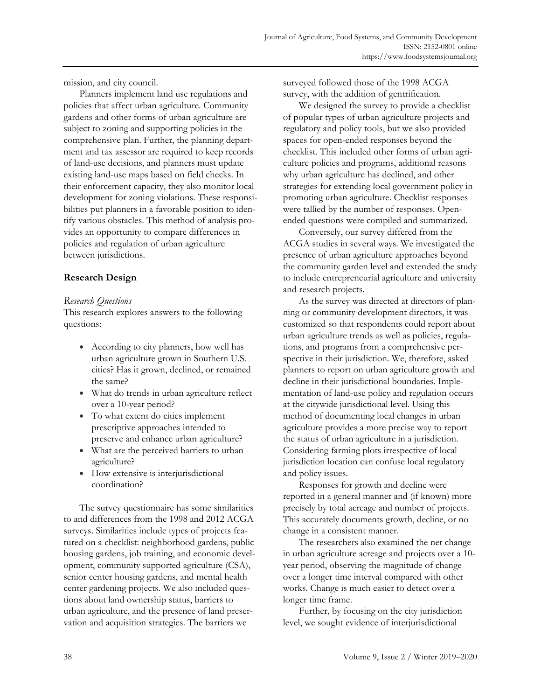mission, and city council.

 Planners implement land use regulations and policies that affect urban agriculture. Community gardens and other forms of urban agriculture are subject to zoning and supporting policies in the comprehensive plan. Further, the planning department and tax assessor are required to keep records of land-use decisions, and planners must update existing land-use maps based on field checks. In their enforcement capacity, they also monitor local development for zoning violations. These responsibilities put planners in a favorable position to identify various obstacles. This method of analysis provides an opportunity to compare differences in policies and regulation of urban agriculture between jurisdictions.

## **Research Design**

### *Research Questions*

This research explores answers to the following questions:

- According to city planners, how well has urban agriculture grown in Southern U.S. cities? Has it grown, declined, or remained the same?
- What do trends in urban agriculture reflect over a 10-year period?
- To what extent do cities implement prescriptive approaches intended to preserve and enhance urban agriculture?
- What are the perceived barriers to urban agriculture?
- How extensive is interjurisdictional coordination?

 The survey questionnaire has some similarities to and differences from the 1998 and 2012 ACGA surveys. Similarities include types of projects featured on a checklist: neighborhood gardens, public housing gardens, job training, and economic development, community supported agriculture (CSA), senior center housing gardens, and mental health center gardening projects. We also included questions about land ownership status, barriers to urban agriculture, and the presence of land preservation and acquisition strategies. The barriers we

surveyed followed those of the 1998 ACGA survey, with the addition of gentrification.

 We designed the survey to provide a checklist of popular types of urban agriculture projects and regulatory and policy tools, but we also provided spaces for open-ended responses beyond the checklist. This included other forms of urban agriculture policies and programs, additional reasons why urban agriculture has declined, and other strategies for extending local government policy in promoting urban agriculture. Checklist responses were tallied by the number of responses. Openended questions were compiled and summarized.

 Conversely, our survey differed from the ACGA studies in several ways. We investigated the presence of urban agriculture approaches beyond the community garden level and extended the study to include entrepreneurial agriculture and university and research projects.

 As the survey was directed at directors of planning or community development directors, it was customized so that respondents could report about urban agriculture trends as well as policies, regulations, and programs from a comprehensive perspective in their jurisdiction. We, therefore, asked planners to report on urban agriculture growth and decline in their jurisdictional boundaries. Implementation of land-use policy and regulation occurs at the citywide jurisdictional level. Using this method of documenting local changes in urban agriculture provides a more precise way to report the status of urban agriculture in a jurisdiction. Considering farming plots irrespective of local jurisdiction location can confuse local regulatory and policy issues.

 Responses for growth and decline were reported in a general manner and (if known) more precisely by total acreage and number of projects. This accurately documents growth, decline, or no change in a consistent manner.

 The researchers also examined the net change in urban agriculture acreage and projects over a 10 year period, observing the magnitude of change over a longer time interval compared with other works. Change is much easier to detect over a longer time frame.

 Further, by focusing on the city jurisdiction level, we sought evidence of interjurisdictional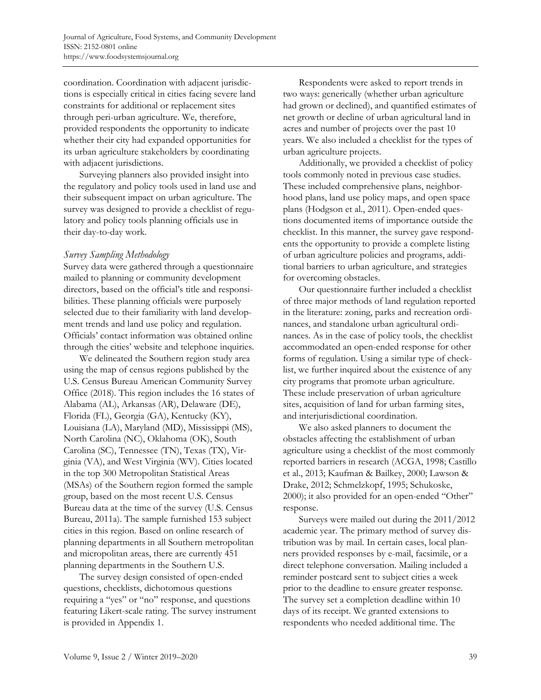coordination. Coordination with adjacent jurisdictions is especially critical in cities facing severe land constraints for additional or replacement sites through peri-urban agriculture. We, therefore, provided respondents the opportunity to indicate whether their city had expanded opportunities for its urban agriculture stakeholders by coordinating with adjacent jurisdictions.

 Surveying planners also provided insight into the regulatory and policy tools used in land use and their subsequent impact on urban agriculture. The survey was designed to provide a checklist of regulatory and policy tools planning officials use in their day-to-day work.

### *Survey Sampling Methodology*

Survey data were gathered through a questionnaire mailed to planning or community development directors, based on the official's title and responsibilities. These planning officials were purposely selected due to their familiarity with land development trends and land use policy and regulation. Officials' contact information was obtained online through the cities' website and telephone inquiries.

 We delineated the Southern region study area using the map of census regions published by the U.S. Census Bureau American Community Survey Office (2018). This region includes the 16 states of Alabama (AL), Arkansas (AR), Delaware (DE), Florida (FL), Georgia (GA), Kentucky (KY), Louisiana (LA), Maryland (MD), Mississippi (MS), North Carolina (NC), Oklahoma (OK), South Carolina (SC), Tennessee (TN), Texas (TX), Virginia (VA), and West Virginia (WV). Cities located in the top 300 Metropolitan Statistical Areas (MSAs) of the Southern region formed the sample group, based on the most recent U.S. Census Bureau data at the time of the survey (U.S. Census Bureau, 2011a). The sample furnished 153 subject cities in this region. Based on online research of planning departments in all Southern metropolitan and micropolitan areas, there are currently 451 planning departments in the Southern U.S.

 The survey design consisted of open-ended questions, checklists, dichotomous questions requiring a "yes" or "no" response, and questions featuring Likert-scale rating. The survey instrument is provided in Appendix 1.

 Respondents were asked to report trends in two ways: generically (whether urban agriculture had grown or declined), and quantified estimates of net growth or decline of urban agricultural land in acres and number of projects over the past 10 years. We also included a checklist for the types of urban agriculture projects.

 Additionally, we provided a checklist of policy tools commonly noted in previous case studies. These included comprehensive plans, neighborhood plans, land use policy maps, and open space plans (Hodgson et al., 2011). Open-ended questions documented items of importance outside the checklist. In this manner, the survey gave respondents the opportunity to provide a complete listing of urban agriculture policies and programs, additional barriers to urban agriculture, and strategies for overcoming obstacles.

 Our questionnaire further included a checklist of three major methods of land regulation reported in the literature: zoning, parks and recreation ordinances, and standalone urban agricultural ordinances. As in the case of policy tools, the checklist accommodated an open-ended response for other forms of regulation. Using a similar type of checklist, we further inquired about the existence of any city programs that promote urban agriculture. These include preservation of urban agriculture sites, acquisition of land for urban farming sites, and interjurisdictional coordination.

 We also asked planners to document the obstacles affecting the establishment of urban agriculture using a checklist of the most commonly reported barriers in research (ACGA, 1998; Castillo et al., 2013; Kaufman & Bailkey, 2000; Lawson & Drake, 2012; Schmelzkopf, 1995; Schukoske, 2000); it also provided for an open-ended "Other" response.

 Surveys were mailed out during the 2011/2012 academic year. The primary method of survey distribution was by mail. In certain cases, local planners provided responses by e-mail, facsimile, or a direct telephone conversation. Mailing included a reminder postcard sent to subject cities a week prior to the deadline to ensure greater response. The survey set a completion deadline within 10 days of its receipt. We granted extensions to respondents who needed additional time. The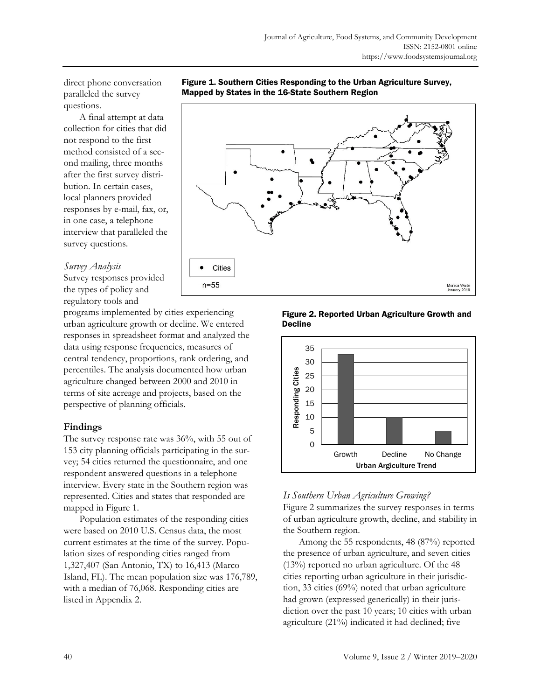direct phone conversation paralleled the survey questions.

 A final attempt at data collection for cities that did not respond to the first method consisted of a second mailing, three months after the first survey distribution. In certain cases, local planners provided responses by e-mail, fax, or, in one case, a telephone interview that paralleled the survey questions.

### *Survey Analysis*

Survey responses provided the types of policy and regulatory tools and

programs implemented by cities experiencing urban agriculture growth or decline. We entered responses in spreadsheet format and analyzed the data using response frequencies, measures of central tendency, proportions, rank ordering, and percentiles. The analysis documented how urban agriculture changed between 2000 and 2010 in terms of site acreage and projects, based on the perspective of planning officials.

# **Findings**

The survey response rate was 36%, with 55 out of 153 city planning officials participating in the survey; 54 cities returned the questionnaire, and one respondent answered questions in a telephone interview. Every state in the Southern region was represented. Cities and states that responded are mapped in Figure 1.

 Population estimates of the responding cities were based on 2010 U.S. Census data, the most current estimates at the time of the survey. Population sizes of responding cities ranged from 1,327,407 (San Antonio, TX) to 16,413 (Marco Island, FL). The mean population size was 176,789, with a median of 76,068. Responding cities are listed in Appendix 2.





Figure 2. Reported Urban Agriculture Growth and Decline



# *Is Southern Urban Agriculture Growing?*

Figure 2 summarizes the survey responses in terms of urban agriculture growth, decline, and stability in the Southern region.

 Among the 55 respondents, 48 (87%) reported the presence of urban agriculture, and seven cities (13%) reported no urban agriculture. Of the 48 cities reporting urban agriculture in their jurisdiction, 33 cities (69%) noted that urban agriculture had grown (expressed generically) in their jurisdiction over the past 10 years; 10 cities with urban agriculture (21%) indicated it had declined; five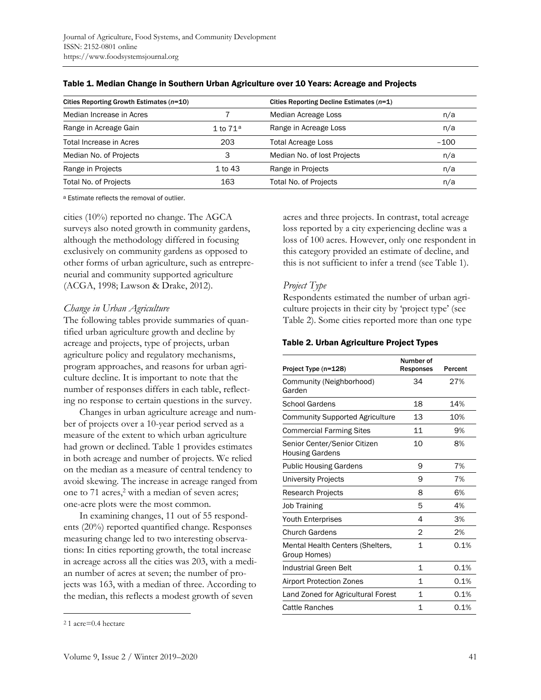| Cities Reporting Growth Estimates (n=10) |             | Cities Reporting Decline Estimates $(n=1)$ |        |
|------------------------------------------|-------------|--------------------------------------------|--------|
| Median Increase in Acres                 |             | Median Acreage Loss                        | n/a    |
| Range in Acreage Gain                    | 1 to $71a$  | Range in Acreage Loss                      | n/a    |
| Total Increase in Acres                  | 203         | <b>Total Acreage Loss</b>                  | $-100$ |
| Median No. of Projects                   |             | Median No. of lost Projects                | n/a    |
| Range in Projects                        | $1$ to $43$ | Range in Projects                          | n/a    |
| <b>Total No. of Projects</b>             | 163         | Total No. of Projects                      | n/a    |

#### Table 1. Median Change in Southern Urban Agriculture over 10 Years: Acreage and Projects

a Estimate reflects the removal of outlier.

cities (10%) reported no change. The AGCA surveys also noted growth in community gardens, although the methodology differed in focusing exclusively on community gardens as opposed to other forms of urban agriculture, such as entrepreneurial and community supported agriculture (ACGA, 1998; Lawson & Drake, 2012).

### *Change in Urban Agriculture*

The following tables provide summaries of quantified urban agriculture growth and decline by acreage and projects, type of projects, urban agriculture policy and regulatory mechanisms, program approaches, and reasons for urban agriculture decline. It is important to note that the number of responses differs in each table, reflecting no response to certain questions in the survey.

 Changes in urban agriculture acreage and number of projects over a 10-year period served as a measure of the extent to which urban agriculture had grown or declined. Table 1 provides estimates in both acreage and number of projects. We relied on the median as a measure of central tendency to avoid skewing. The increase in acreage ranged from one to 71 acres,<sup>2</sup> with a median of seven acres; one-acre plots were the most common.

 In examining changes, 11 out of 55 respondents (20%) reported quantified change. Responses measuring change led to two interesting observations: In cities reporting growth, the total increase in acreage across all the cities was 203, with a median number of acres at seven; the number of projects was 163, with a median of three. According to the median, this reflects a modest growth of seven

acres and three projects. In contrast, total acreage loss reported by a city experiencing decline was a loss of 100 acres. However, only one respondent in this category provided an estimate of decline, and this is not sufficient to infer a trend (see Table 1).

### *Project Type*

Respondents estimated the number of urban agriculture projects in their city by 'project type' (see Table 2). Some cities reported more than one type

#### Table 2. Urban Agriculture Project Types

| Project Type (n=128)                                   | Number of<br><b>Responses</b> | Percent |
|--------------------------------------------------------|-------------------------------|---------|
| Community (Neighborhood)<br>Garden                     | 34                            | 27%     |
| <b>School Gardens</b>                                  | 18                            | 14%     |
| <b>Community Supported Agriculture</b>                 | 13                            | 10%     |
| <b>Commercial Farming Sites</b>                        | 11                            | 9%      |
| Senior Center/Senior Citizen<br><b>Housing Gardens</b> | 10                            | 8%      |
| <b>Public Housing Gardens</b>                          | 9                             | 7%      |
| <b>University Projects</b>                             | 9                             | 7%      |
| <b>Research Projects</b>                               | 8                             | 6%      |
| <b>Job Training</b>                                    | 5                             | 4%      |
| Youth Enterprises                                      | 4                             | 3%      |
| <b>Church Gardens</b>                                  | 2                             | 2%      |
| Mental Health Centers (Shelters,<br>Group Homes)       | 1                             | 0.1%    |
| Industrial Green Belt                                  | 1                             | 0.1%    |
| <b>Airport Protection Zones</b>                        | 1                             | 0.1%    |
| Land Zoned for Agricultural Forest                     | 1                             | 0.1%    |
| Cattle Ranches                                         | 1                             | 0.1%    |

<sup>2</sup> 1 acre=0.4 hectare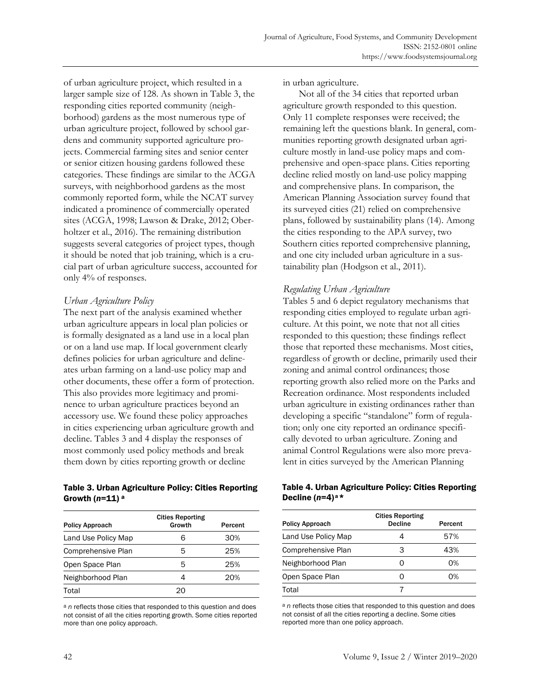of urban agriculture project, which resulted in a larger sample size of 128. As shown in Table 3, the responding cities reported community (neighborhood) gardens as the most numerous type of urban agriculture project, followed by school gardens and community supported agriculture projects. Commercial farming sites and senior center or senior citizen housing gardens followed these categories. These findings are similar to the ACGA surveys, with neighborhood gardens as the most commonly reported form, while the NCAT survey indicated a prominence of commercially operated sites (ACGA, 1998; Lawson & Drake, 2012; Oberholtzer et al., 2016). The remaining distribution suggests several categories of project types, though it should be noted that job training, which is a crucial part of urban agriculture success, accounted for only 4% of responses.

## *Urban Agriculture Policy*

The next part of the analysis examined whether urban agriculture appears in local plan policies or is formally designated as a land use in a local plan or on a land use map. If local government clearly defines policies for urban agriculture and delineates urban farming on a land-use policy map and other documents, these offer a form of protection. This also provides more legitimacy and prominence to urban agriculture practices beyond an accessory use. We found these policy approaches in cities experiencing urban agriculture growth and decline. Tables 3 and 4 display the responses of most commonly used policy methods and break them down by cities reporting growth or decline

### Table 3. Urban Agriculture Policy: Cities Reporting Growth (*n*=11) a

| <b>Policy Approach</b> | <b>Cities Reporting</b><br>Growth | Percent |
|------------------------|-----------------------------------|---------|
| Land Use Policy Map    |                                   | 30%     |
| Comprehensive Plan     | 5                                 | 25%     |
| Open Space Plan        | 5                                 | 25%     |
| Neighborhood Plan      |                                   | 20%     |
| Total                  |                                   |         |

a *n* reflects those cities that responded to this question and does not consist of all the cities reporting growth. Some cities reported more than one policy approach.

in urban agriculture.

 Not all of the 34 cities that reported urban agriculture growth responded to this question. Only 11 complete responses were received; the remaining left the questions blank. In general, communities reporting growth designated urban agriculture mostly in land-use policy maps and comprehensive and open-space plans. Cities reporting decline relied mostly on land-use policy mapping and comprehensive plans. In comparison, the American Planning Association survey found that its surveyed cities (21) relied on comprehensive plans, followed by sustainability plans (14). Among the cities responding to the APA survey, two Southern cities reported comprehensive planning, and one city included urban agriculture in a sustainability plan (Hodgson et al., 2011).

## *Regulating Urban Agriculture*

Tables 5 and 6 depict regulatory mechanisms that responding cities employed to regulate urban agriculture. At this point, we note that not all cities responded to this question; these findings reflect those that reported these mechanisms. Most cities, regardless of growth or decline, primarily used their zoning and animal control ordinances; those reporting growth also relied more on the Parks and Recreation ordinance. Most respondents included urban agriculture in existing ordinances rather than developing a specific "standalone" form of regulation; only one city reported an ordinance specifically devoted to urban agriculture. Zoning and animal Control Regulations were also more prevalent in cities surveyed by the American Planning

### Table 4. Urban Agriculture Policy: Cities Reporting Decline (*n*=4) a\*

| <b>Policy Approach</b> | <b>Cities Reporting</b><br><b>Decline</b> | Percent |
|------------------------|-------------------------------------------|---------|
| Land Use Policy Map    | 4                                         | 57%     |
| Comprehensive Plan     | З                                         | 43%     |
| Neighborhood Plan      | 0                                         | 0%      |
| Open Space Plan        | 0                                         | 0%      |
| Total                  |                                           |         |

a *n* reflects those cities that responded to this question and does not consist of all the cities reporting a decline. Some cities reported more than one policy approach.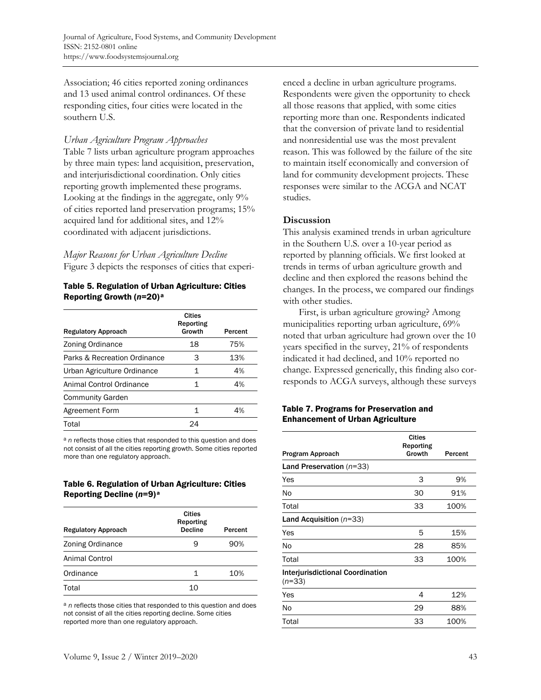Association; 46 cities reported zoning ordinances and 13 used animal control ordinances. Of these responding cities, four cities were located in the southern U.S.

### *Urban Agriculture Program Approaches*

Table 7 lists urban agriculture program approaches by three main types: land acquisition, preservation, and interjurisdictional coordination. Only cities reporting growth implemented these programs. Looking at the findings in the aggregate, only 9% of cities reported land preservation programs; 15% acquired land for additional sites, and 12% coordinated with adjacent jurisdictions.

*Major Reasons for Urban Agriculture Decline*  Figure 3 depicts the responses of cities that experi-

### Table 5. Regulation of Urban Agriculture: Cities Reporting Growth (*n*=20) <sup>a</sup>

| <b>Regulatory Approach</b>   | <b>Cities</b><br>Reporting<br>Growth | Percent |
|------------------------------|--------------------------------------|---------|
| Zoning Ordinance             | 18                                   | 75%     |
| Parks & Recreation Ordinance | 3                                    | 13%     |
| Urban Agriculture Ordinance  | 1                                    | 4%      |
| Animal Control Ordinance     | 1                                    | 4%      |
| <b>Community Garden</b>      |                                      |         |
| Agreement Form               | 1                                    | 4%      |
| Total                        | 24                                   |         |

a *n* reflects those cities that responded to this question and does not consist of all the cities reporting growth. Some cities reported more than one regulatory approach.

### Table 6. Regulation of Urban Agriculture: Cities Reporting Decline (*n*=9) <sup>a</sup>

| <b>Regulatory Approach</b> | <b>Cities</b><br>Reporting<br><b>Decline</b> | Percent |
|----------------------------|----------------------------------------------|---------|
| Zoning Ordinance           | 9                                            | 90%     |
| Animal Control             |                                              |         |
| Ordinance                  | 1                                            | 10%     |
| Total                      | 10                                           |         |

a *n* reflects those cities that responded to this question and does not consist of all the cities reporting decline. Some cities reported more than one regulatory approach.

enced a decline in urban agriculture programs. Respondents were given the opportunity to check all those reasons that applied, with some cities reporting more than one. Respondents indicated that the conversion of private land to residential and nonresidential use was the most prevalent reason. This was followed by the failure of the site to maintain itself economically and conversion of land for community development projects. These responses were similar to the ACGA and NCAT studies.

### **Discussion**

This analysis examined trends in urban agriculture in the Southern U.S. over a 10-year period as reported by planning officials. We first looked at trends in terms of urban agriculture growth and decline and then explored the reasons behind the changes. In the process, we compared our findings with other studies.

 First, is urban agriculture growing? Among municipalities reporting urban agriculture, 69% noted that urban agriculture had grown over the 10 years specified in the survey, 21% of respondents indicated it had declined, and 10% reported no change. Expressed generically, this finding also corresponds to ACGA surveys, although these surveys

### Table 7. Programs for Preservation and Enhancement of Urban Agriculture

| Program Approach                                    | <b>Cities</b><br>Reporting<br>Growth | Percent |
|-----------------------------------------------------|--------------------------------------|---------|
| Land Preservation $(n=33)$                          |                                      |         |
| Yes                                                 | 3                                    | 9%      |
| No                                                  | 30                                   | 91%     |
| Total                                               | 33                                   | 100%    |
| Land Acquisition $(n=33)$                           |                                      |         |
| Yes                                                 | 5                                    | 15%     |
| No                                                  | 28                                   | 85%     |
| Total                                               | 33                                   | 100%    |
| <b>Interjurisdictional Coordination</b><br>$(n=33)$ |                                      |         |
| Yes                                                 | 4                                    | 12%     |
| No                                                  | 29                                   | 88%     |
| Total                                               | 33                                   | 100%    |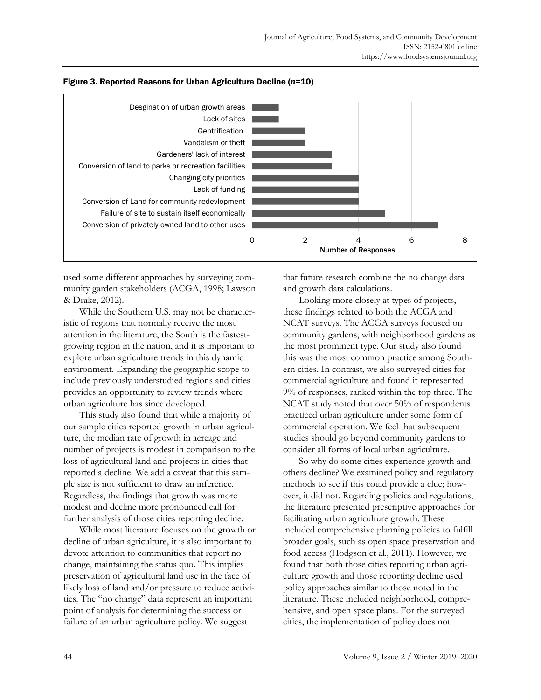

### Figure 3. Reported Reasons for Urban Agriculture Decline (*n*=10)

used some different approaches by surveying community garden stakeholders (ACGA, 1998; Lawson & Drake, 2012).

 While the Southern U.S. may not be characteristic of regions that normally receive the most attention in the literature, the South is the fastestgrowing region in the nation, and it is important to explore urban agriculture trends in this dynamic environment. Expanding the geographic scope to include previously understudied regions and cities provides an opportunity to review trends where urban agriculture has since developed.

 This study also found that while a majority of our sample cities reported growth in urban agriculture, the median rate of growth in acreage and number of projects is modest in comparison to the loss of agricultural land and projects in cities that reported a decline. We add a caveat that this sample size is not sufficient to draw an inference. Regardless, the findings that growth was more modest and decline more pronounced call for further analysis of those cities reporting decline.

 While most literature focuses on the growth or decline of urban agriculture, it is also important to devote attention to communities that report no change, maintaining the status quo. This implies preservation of agricultural land use in the face of likely loss of land and/or pressure to reduce activities. The "no change" data represent an important point of analysis for determining the success or failure of an urban agriculture policy. We suggest

that future research combine the no change data and growth data calculations.

 Looking more closely at types of projects, these findings related to both the ACGA and NCAT surveys. The ACGA surveys focused on community gardens, with neighborhood gardens as the most prominent type. Our study also found this was the most common practice among Southern cities. In contrast, we also surveyed cities for commercial agriculture and found it represented 9% of responses, ranked within the top three. The NCAT study noted that over 50% of respondents practiced urban agriculture under some form of commercial operation. We feel that subsequent studies should go beyond community gardens to consider all forms of local urban agriculture.

 So why do some cities experience growth and others decline? We examined policy and regulatory methods to see if this could provide a clue; however, it did not. Regarding policies and regulations, the literature presented prescriptive approaches for facilitating urban agriculture growth. These included comprehensive planning policies to fulfill broader goals, such as open space preservation and food access (Hodgson et al., 2011). However, we found that both those cities reporting urban agriculture growth and those reporting decline used policy approaches similar to those noted in the literature. These included neighborhood, comprehensive, and open space plans. For the surveyed cities, the implementation of policy does not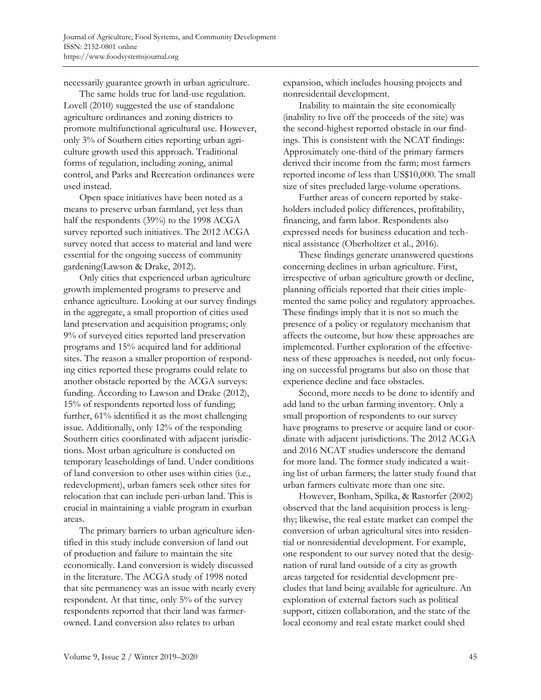necessarily guarantee growth in urban agriculture.

 The same holds true for land-use regulation. Lovell (2010) suggested the use of standalone agriculture ordinances and zoning districts to promote multifunctional agricultural use. However, only 3% of Southern cities reporting urban agriculture growth used this approach. Traditional forms of regulation, including zoning, animal control, and Parks and Recreation ordinances were used instead.

 Open space initiatives have been noted as a means to preserve urban farmland, yet less than half the respondents (39%) to the 1998 ACGA survey reported such initiatives. The 2012 ACGA survey noted that access to material and land were essential for the ongoing success of community gardening(Lawson & Drake, 2012).

 Only cities that experienced urban agriculture growth implemented programs to preserve and enhance agriculture. Looking at our survey findings in the aggregate, a small proportion of cities used land preservation and acquisition programs; only 9% of surveyed cities reported land preservation programs and 15% acquired land for additional sites. The reason a smaller proportion of responding cities reported these programs could relate to another obstacle reported by the ACGA surveys: funding. According to Lawson and Drake (2012), 15% of respondents reported loss of funding; further, 61% identified it as the most challenging issue. Additionally, only 12% of the responding Southern cities coordinated with adjacent jurisdictions. Most urban agriculture is conducted on temporary leaseholdings of land. Under conditions of land conversion to other uses within cities (i.e., redevelopment), urban famers seek other sites for relocation that can include peri-urban land. This is crucial in maintaining a viable program in exurban areas.

 The primary barriers to urban agriculture identified in this study include conversion of land out of production and failure to maintain the site economically. Land conversion is widely discussed in the literature. The ACGA study of 1998 noted that site permanency was an issue with nearly every respondent. At that time, only 5% of the survey respondents reported that their land was farmerowned. Land conversion also relates to urban

expansion, which includes housing projects and nonresidentail development.

 Inability to maintain the site economically (inability to live off the proceeds of the site) was the second-highest reported obstacle in our findings. This is consistent with the NCAT findings: Approximately one-third of the primary farmers derived their income from the farm; most farmers reported income of less than US\$10,000. The small size of sites precluded large-volume operations.

 Further areas of concern reported by stakeholders included policy differences, profitability, financing, and farm labor. Respondents also expressed needs for business education and technical assistance (Oberholtzer et al., 2016).

 These findings generate unanswered questions concerning declines in urban agriculture. First, irrespective of urban agriculture growth or decline, planning officials reported that their cities implemented the same policy and regulatory approaches. These findings imply that it is not so much the presence of a policy or regulatory mechanism that affects the outcome, but how these approaches are implemented. Further exploration of the effectiveness of these approaches is needed, not only focusing on successful programs but also on those that experience decline and face obstacles.

 Second, more needs to be done to identify and add land to the urban farming inventory. Only a small proportion of respondents to our survey have programs to preserve or acquire land or coordinate with adjacent jurisdictions. The 2012 ACGA and 2016 NCAT studies underscore the demand for more land. The former study indicated a waiting list of urban farmers; the latter study found that urban farmers cultivate more than one site.

 However, Bonham, Spilka, & Rastorfer (2002) observed that the land acquisition process is lengthy; likewise, the real estate market can compel the conversion of urban agricultural sites into residential or nonresidential development. For example, one respondent to our survey noted that the designation of rural land outside of a city as growth areas targeted for residential development precludes that land being available for agriculture. An exploration of external factors such as political support, citizen collaboration, and the state of the local economy and real estate market could shed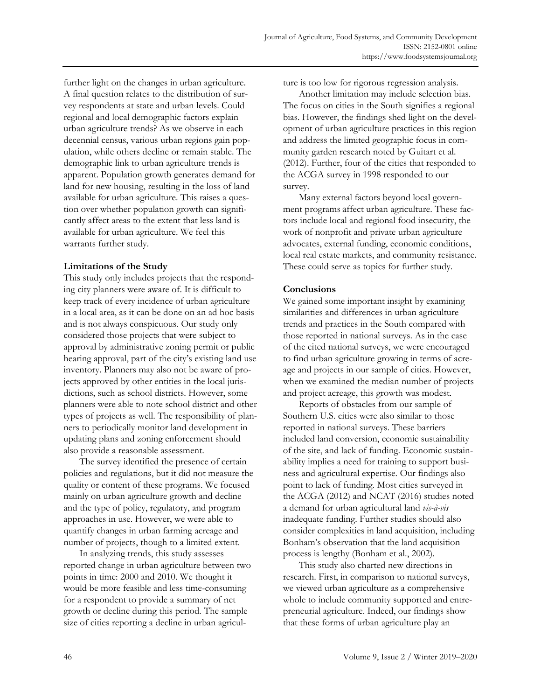further light on the changes in urban agriculture. A final question relates to the distribution of survey respondents at state and urban levels. Could regional and local demographic factors explain urban agriculture trends? As we observe in each decennial census, various urban regions gain population, while others decline or remain stable. The demographic link to urban agriculture trends is apparent. Population growth generates demand for land for new housing, resulting in the loss of land available for urban agriculture. This raises a question over whether population growth can significantly affect areas to the extent that less land is available for urban agriculture. We feel this warrants further study.

### **Limitations of the Study**

This study only includes projects that the responding city planners were aware of. It is difficult to keep track of every incidence of urban agriculture in a local area, as it can be done on an ad hoc basis and is not always conspicuous. Our study only considered those projects that were subject to approval by administrative zoning permit or public hearing approval, part of the city's existing land use inventory. Planners may also not be aware of projects approved by other entities in the local jurisdictions, such as school districts. However, some planners were able to note school district and other types of projects as well. The responsibility of planners to periodically monitor land development in updating plans and zoning enforcement should also provide a reasonable assessment.

 The survey identified the presence of certain policies and regulations, but it did not measure the quality or content of these programs. We focused mainly on urban agriculture growth and decline and the type of policy, regulatory, and program approaches in use. However, we were able to quantify changes in urban farming acreage and number of projects, though to a limited extent.

 In analyzing trends, this study assesses reported change in urban agriculture between two points in time: 2000 and 2010. We thought it would be more feasible and less time-consuming for a respondent to provide a summary of net growth or decline during this period. The sample size of cities reporting a decline in urban agriculture is too low for rigorous regression analysis.

 Another limitation may include selection bias. The focus on cities in the South signifies a regional bias. However, the findings shed light on the development of urban agriculture practices in this region and address the limited geographic focus in community garden research noted by Guitart et al. (2012). Further, four of the cities that responded to the ACGA survey in 1998 responded to our survey.

 Many external factors beyond local government programs affect urban agriculture. These factors include local and regional food insecurity, the work of nonprofit and private urban agriculture advocates, external funding, economic conditions, local real estate markets, and community resistance. These could serve as topics for further study.

### **Conclusions**

We gained some important insight by examining similarities and differences in urban agriculture trends and practices in the South compared with those reported in national surveys. As in the case of the cited national surveys, we were encouraged to find urban agriculture growing in terms of acreage and projects in our sample of cities. However, when we examined the median number of projects and project acreage, this growth was modest.

 Reports of obstacles from our sample of Southern U.S. cities were also similar to those reported in national surveys. These barriers included land conversion, economic sustainability of the site, and lack of funding. Economic sustainability implies a need for training to support business and agricultural expertise. Our findings also point to lack of funding. Most cities surveyed in the ACGA (2012) and NCAT (2016) studies noted a demand for urban agricultural land *vis-à-vis* inadequate funding. Further studies should also consider complexities in land acquisition, including Bonham's observation that the land acquisition process is lengthy (Bonham et al., 2002).

 This study also charted new directions in research. First, in comparison to national surveys, we viewed urban agriculture as a comprehensive whole to include community supported and entrepreneurial agriculture. Indeed, our findings show that these forms of urban agriculture play an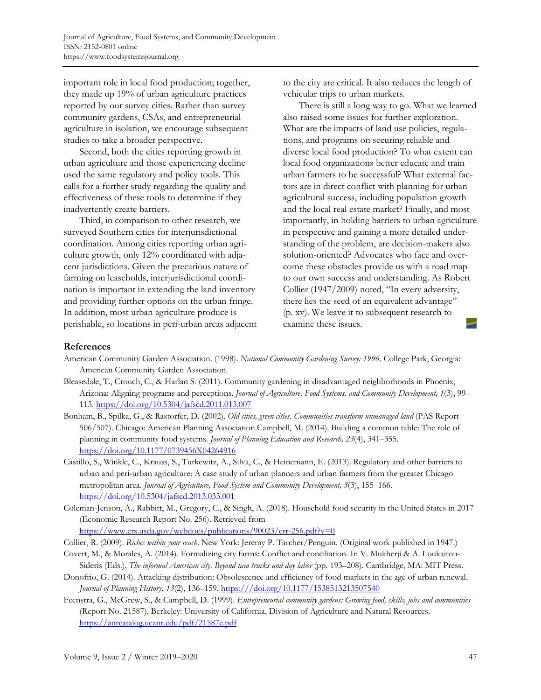important role in local food production; together, they made up 19% of urban agriculture practices reported by our survey cities. Rather than survey community gardens, CSAs, and entrepreneurial agriculture in isolation, we encourage subsequent studies to take a broader perspective.

 Second, both the cities reporting growth in urban agriculture and those experiencing decline used the same regulatory and policy tools. This calls for a further study regarding the quality and effectiveness of these tools to determine if they inadvertently create barriers.

 Third, in comparison to other research, we surveyed Southern cities for interjurisdictional coordination. Among cities reporting urban agriculture growth, only 12% coordinated with adjacent jurisdictions. Given the precarious nature of farming on leaseholds, interjurisdictional coordination is important in extending the land inventory and providing further options on the urban fringe. In addition, most urban agriculture produce is perishable, so locations in peri-urban areas adjacent to the city are critical. It also reduces the length of vehicular trips to urban markets.

 There is still a long way to go. What we learned also raised some issues for further exploration. What are the impacts of land use policies, regulations, and programs on securing reliable and diverse local food production? To what extent can local food organizations better educate and train urban farmers to be successful? What external factors are in direct conflict with planning for urban agricultural success, including population growth and the local real estate market? Finally, and most importantly, in holding barriers to urban agriculture in perspective and gaining a more detailed understanding of the problem, are decision-makers also solution-oriented? Advocates who face and overcome these obstacles provide us with a road map to our own success and understanding. As Robert Collier (1947/2009) noted, "In every adversity, there lies the seed of an equivalent advantage" (p. xv). We leave it to subsequent research to examine these issues.

### **References**

- American Community Garden Association. (1998). *National Community Gardening Survey: 1996.* College Park, Georgia: American Community Garden Association.
- Bleasedale, T., Crouch, C., & Harlan S. (2011). Community gardening in disadvantaged neighborhoods in Phoenix, Arizona: Aligning programs and perceptions. *Journal of Agriculture, Food Systems, and Community Development, 1*(3), 99– 113. https://doi.org/10.5304/jafscd.2011.013.007
- Bonham, B., Spilka, G., & Rastorfer, D. (2002). *Old cities, green cities. Communities transform unmanaged land* (PAS Report 506/507). Chicago: American Planning Association.Campbell, M. (2014). Building a common table: The role of planning in community food systems. *Journal of Planning Education and Research, 23*(4), 341–355. https://doi.org/10.1177/0739456X04264916
- Castillo, S., Winkle, C., Krauss, S., Turkewitz, A., Silva, C., & Heinemann, E. (2013). Regulatory and other barriers to urban and peri-urban agriculture: A case study of urban planners and urban farmers from the greater Chicago metropolitan area. *Journal of Agriculture, Food System and Community Development, 3*(3), 155–166. https://doi.org/10.5304/jafscd.2013.033.001
- Coleman-Jenson, A., Rabbitt, M., Gregory, C., & Singh, A. (2018). Household food security in the United States in 2017 (Economic Research Report No. 256). Retrieved from

https://www.ers.usda.gov/webdocs/publications/90023/err-256.pdf?v=0

- Collier, R. (2009). *Riches within your reach*. New York: Jeremy P. Tarcher/Penguin. (Original work published in 1947.)
- Covert, M., & Morales, A. (2014). Formalizing city farms: Conflict and conciliation. In V. Mukherji & A. Loukaitou-Sideris (Eds.), *The informal American city. Beyond taco trucks and day labor* (pp. 193–208). Cambridge, MA: MIT Press.
- Donofrio, G. (2014). Attacking distribution: Obsolescence and efficiency of food markets in the age of urban renewal. *Journal of Planning History, 13*(2), 136–159. https:///doi.org/10.1177/1538513213507540
- Feenstra, G., McGrew, S., & Campbell, D. (1999). *Entrepreneurial community gardens: Growing food, skills, jobs and communities* (Report No. 21587). Berkeley: University of California, Division of Agriculture and Natural Resources. https://anrcatalog.ucanr.edu/pdf/21587e.pdf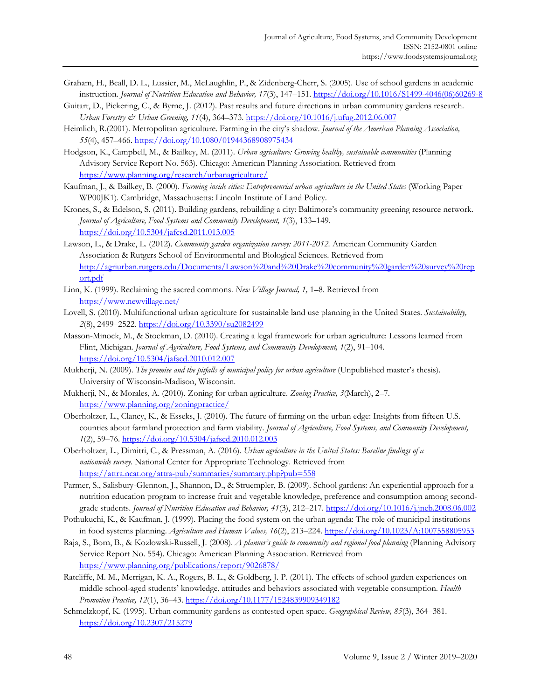- Graham, H., Beall, D. L., Lussier, M., McLaughlin, P., & Zidenberg-Cherr, S. (2005). Use of school gardens in academic instruction. *Journal of Nutrition Education and Behavior, 17*(3), 147–151. [https://doi.org/10.1016/S1499-4046\(06\)60269-8](https://doi.org/10.1016/S1499-4046(06)60269-8)
- Guitart, D., Pickering, C., & Byrne, J. (2012). Past results and future directions in urban community gardens research. *Urban Forestry & Urban Greening, 11*(4), 364–373. https://doi.org/10.1016/j.ufug.2012.06.007
- Heimlich, R.(2001). Metropolitan agriculture. Farming in the city's shadow. *Journal of the American Planning Association, 55*(4), 457–466. https://doi.org/10.1080/01944368908975434

Hodgson, K., Campbell, M., & Bailkey, M. (2011). *Urban agriculture: Growing healthy, sustainable communities* (Planning Advisory Service Report No. 563). Chicago: American Planning Association. Retrieved from https://www.planning.org/research/urbanagriculture/

Kaufman, J., & Bailkey, B. (2000). *Farming inside cities: Entrepreneurial urban agriculture in the United States* (Working Paper WP00JK1). Cambridge, Massachusetts: Lincoln Institute of Land Policy.

- Krones, S., & Edelson, S. (2011). Building gardens, rebuilding a city: Baltimore's community greening resource network. *Journal of Agriculture, Food Systems and Community Development, 1*(3), 133–149. https://doi.org/10.5304/jafcsd.2011.013.005
- Lawson, L., & Drake, L. (2012). *Community garden organization survey: 2011-2012.* American Community Garden Association & Rutgers School of Environmental and Biological Sciences. Retrieved from [http://agriurban.rutgers.edu/Documents/Lawson%20and%20Drake%20community%20garden%20survey%20rep](http://agriurban.rutgers.edu/Documents/Lawson%20and%20Drake%20community%20garden%20survey%20report.pdf) ort.pdf
- Linn, K. (1999). Reclaiming the sacred commons. *New Village Journal, 1,* 1–8. Retrieved from https://www.newvillage.net/
- Lovell, S. (2010). Multifunctional urban agriculture for sustainable land use planning in the United States. *Sustainability, 2*(8), 2499–2522. https://doi.org/10.3390/su2082499
- Masson-Minock, M., & Stockman, D. (2010). Creating a legal framework for urban agriculture: Lessons learned from Flint, Michigan. *Journal of Agriculture, Food Systems, and Community Development, 1*(2), 91–104. https://doi.org/10.5304/jafscd.2010.012.007
- Mukherji, N. (2009). *The promise and the pitfalls of municipal policy for urban agriculture* (Unpublished master's thesis). University of Wisconsin-Madison, Wisconsin.
- Mukherji, N., & Morales, A. (2010). Zoning for urban agriculture. *Zoning Practice, 3*(March), 2–7. https://www.planning.org/zoningpractice/
- Oberholtzer, L., Clancy, K., & Esseks, J. (2010). The future of farming on the urban edge: Insights from fifteen U.S. counties about farmland protection and farm viability. *Journal of Agriculture, Food Systems, and Community Development, 1*(2), 59–76. https://doi.org/10.5304/jafscd.2010.012.003
- Oberholtzer, L., Dimitri, C., & Pressman, A. (2016). *Urban agriculture in the United States: Baseline findings of a nationwide survey.* National Center for Appropriate Technology. Retrieved from https://attra.ncat.org/attra-pub/summaries/summary.php?pub=558
- Parmer, S., Salisbury-Glennon, J., Shannon, D., & Struempler, B. (2009). School gardens: An experiential approach for a nutrition education program to increase fruit and vegetable knowledge, preference and consumption among secondgrade students. *Journal of Nutrition Education and Behavior, 41*(3), 212–217. https://doi.org/10.1016/j.jneb.2008.06.002
- Pothukuchi, K., & Kaufman, J. (1999). Placing the food system on the urban agenda: The role of municipal institutions in food systems planning. *Agriculture and Human Values, 16*(2), 213–224. https://doi.org/10.1023/A:1007558805953
- Raja, S., Born, B., & Kozlowski-Russell, J. (2008). *A planner's guide to community and regional food planning* (Planning Advisory Service Report No. 554). Chicago: American Planning Association. Retrieved from https://www.planning.org/publications/report/9026878/
- Ratcliffe, M. M., Merrigan, K. A., Rogers, B. L., & Goldberg, J. P. (2011). The effects of school garden experiences on middle school-aged students' knowledge, attitudes and behaviors associated with vegetable consumption. *Health Promotion Practice, 12*(1), 36–43. https://doi.org/10.1177/1524839909349182
- Schmelzkopf, K. (1995). Urban community gardens as contested open space. *Geographical Review, 85*(3), 364–381. https://doi.org/10.2307/215279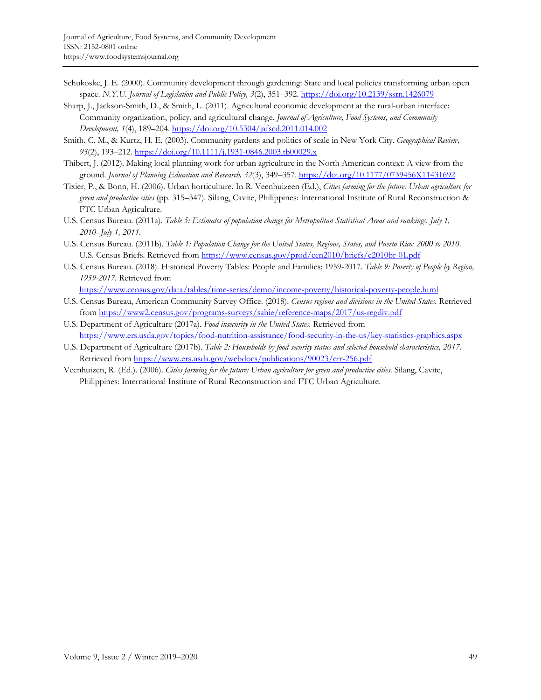- Schukoske, J. E. (2000). Community development through gardening: State and local policies transforming urban open space. *N.Y.U. Journal of Legislation and Public Policy, 3*(2), 351–392. https://doi.org/10.2139/ssrn.1426079
- Sharp, J., Jackson-Smith, D., & Smith, L. (2011). Agricultural economic development at the rural-urban interface: Community organization, policy, and agricultural change. *Journal of Agriculture, Food Systems, and Community Development, 1*(4), 189–204. https://doi.org/10.5304/jafscd.2011.014.002
- Smith, C. M., & Kurtz, H. E. (2003). Community gardens and politics of scale in New York City. *Geographical Review, 93*(2), 193–212. https://doi.org/10.1111/j.1931-0846.2003.tb00029.x
- Thibert, J. (2012). Making local planning work for urban agriculture in the North American context: A view from the ground. *Journal of Planning Education and Research, 32*(3), 349–357. https://doi.org/10.1177/0739456X11431692
- Tixier, P., & Bonn, H. (2006). Urban horticulture. In R. Veenhuizeen (Ed.), *Cities farming for the future: Urban agriculture for green and productive cities* (pp. 315–347)*.* Silang, Cavite, Philippines: International Institute of Rural Reconstruction & FTC Urban Agriculture.
- U.S. Census Bureau. (2011a). *Table 5: Estimates of population change for Metropolitan Statistical Areas and rankings. July 1, 2010–July 1, 2011*.
- U.S. Census Bureau. (2011b). *Table 1: Population Change for the United States, Regions, States, and Puerto Rico: 2000 to 2010*. U.S. Census Briefs. Retrieved from https://www.census.gov/prod/cen2010/briefs/c2010br-01.pdf
- U.S. Census Bureau. (2018). Historical Poverty Tables: People and Families: 1959-2017. *Table 9: Poverty of People by Region, 1959-2017.* Retrieved from

https://www.census.gov/data/tables/time-series/demo/income-poverty/historical-poverty-people.html

- U.S. Census Bureau, American Community Survey Office. (2018). *Census regions and divisions in the United States.* Retrieved from https://www2.census.gov/programs-surveys/sahie/reference-maps/2017/us-regdiv.pdf
- U.S. Department of Agriculture (2017a). *Food insecurity in the United States.* Retrieved from https://www.ers.usda.gov/topics/food-nutrition-assistance/food-security-in-the-us/key-statistics-graphics.aspx
- U.S. Department of Agriculture (2017b). *Table 2: Households by food security status and selected household characteristics, 2017.* Retrieved from https://www.ers.usda.gov/webdocs/publications/90023/err-256.pdf
- Veenhuizen, R. (Ed.). (2006). *Cities farming for the future: Urban agriculture for green and productive cities.* Silang, Cavite, Philippines: International Institute of Rural Reconstruction and FTC Urban Agriculture.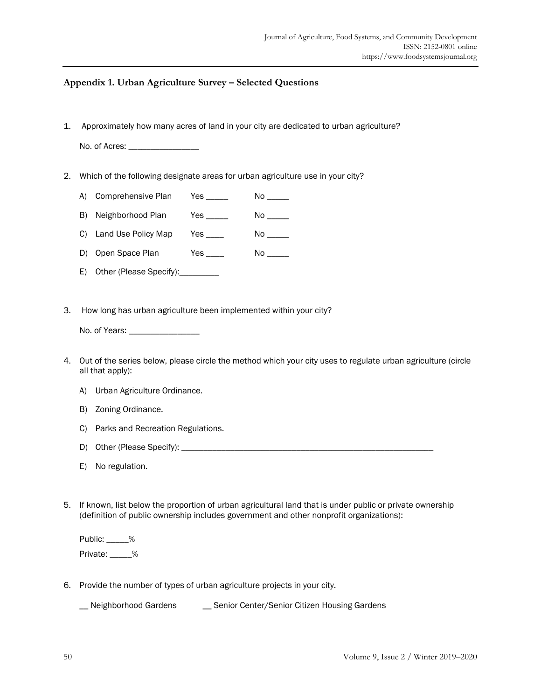### **Appendix 1. Urban Agriculture Survey – Selected Questions**

1. Approximately how many acres of land in your city are dedicated to urban agriculture?

No. of Acres: \_\_\_\_\_\_\_\_\_\_\_\_\_\_\_\_\_\_\_\_

2. Which of the following designate areas for urban agriculture use in your city?

A) Comprehensive Plan Yes No

- B) Neighborhood Plan Yes \_\_\_\_ No \_\_\_\_
- C) Land Use Policy Map Yes \_\_\_\_ No \_\_\_
- D) Open Space Plan Yes \_\_\_\_ No \_\_\_\_
- E) Other (Please Specify):\_\_\_\_\_\_\_\_\_
- 3. How long has urban agriculture been implemented within your city?

No. of Years: \_\_\_\_\_\_\_\_\_\_\_\_\_\_\_\_

- 4. Out of the series below, please circle the method which your city uses to regulate urban agriculture (circle all that apply):
	- A) Urban Agriculture Ordinance.
	- B) Zoning Ordinance.
	- C) Parks and Recreation Regulations.
	- D) Other (Please Specify): \_\_\_\_\_\_\_\_\_\_\_\_\_\_\_\_\_\_\_\_\_\_\_\_\_\_\_\_\_\_\_\_\_\_\_\_\_\_\_\_\_\_\_\_\_\_\_\_\_\_\_\_\_\_\_\_\_
	- E) No regulation.
- 5. If known, list below the proportion of urban agricultural land that is under public or private ownership (definition of public ownership includes government and other nonprofit organizations):

Public: \_\_\_\_\_% Private: \_\_\_\_\_%

6. Provide the number of types of urban agriculture projects in your city.

\_\_ Neighborhood Gardens \_\_ Senior Center/Senior Citizen Housing Gardens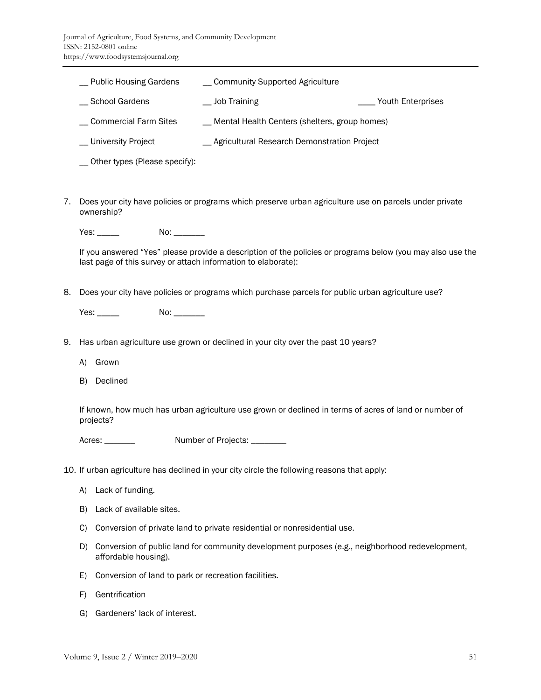|    | <b>Public Housing Gardens</b>    | __ Community Supported Agriculture                                                                     |                   |
|----|----------------------------------|--------------------------------------------------------------------------------------------------------|-------------------|
|    | School Gardens                   | Job Training                                                                                           | Youth Enterprises |
|    | Commercial Farm Sites            | __ Mental Health Centers (shelters, group homes)                                                       |                   |
|    | University Project               | Agricultural Research Demonstration Project                                                            |                   |
|    | __ Other types (Please specify): |                                                                                                        |                   |
|    |                                  |                                                                                                        |                   |
| 7. | ownership?                       | Does your city have policies or programs which preserve urban agriculture use on parcels under private |                   |

Yes: \_\_\_\_\_\_\_ No: \_\_\_\_\_\_\_

If you answered "Yes" please provide a description of the policies or programs below (you may also use the last page of this survey or attach information to elaborate):

8. Does your city have policies or programs which purchase parcels for public urban agriculture use?

Yes: No: No: 2008

- 9. Has urban agriculture use grown or declined in your city over the past 10 years?
	- A) Grown
	- B) Declined

If known, how much has urban agriculture use grown or declined in terms of acres of land or number of projects?

Acres: \_\_\_\_\_\_\_\_\_ Number of Projects: \_\_\_\_\_\_\_

10. If urban agriculture has declined in your city circle the following reasons that apply:

- A) Lack of funding.
- B) Lack of available sites.
- C) Conversion of private land to private residential or nonresidential use.
- D) Conversion of public land for community development purposes (e.g., neighborhood redevelopment, affordable housing).
- E) Conversion of land to park or recreation facilities.
- F) Gentrification
- G) Gardeners' lack of interest.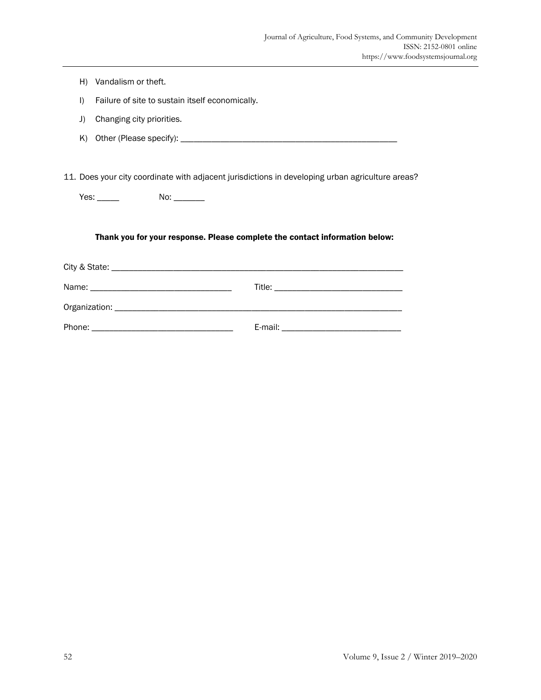- H) Vandalism or theft.
- I) Failure of site to sustain itself economically.
- J) Changing city priorities.
- K) Other (Please specify): \_\_\_\_\_\_\_\_\_\_\_\_\_\_\_\_\_\_\_\_\_\_\_\_\_\_\_\_\_\_\_\_\_\_\_\_\_\_\_\_\_\_\_\_\_\_\_\_\_

11. Does your city coordinate with adjacent jurisdictions in developing urban agriculture areas?

Yes: \_\_\_\_\_\_\_ No: \_\_\_\_\_\_\_

#### Thank you for your response. Please complete the contact information below: